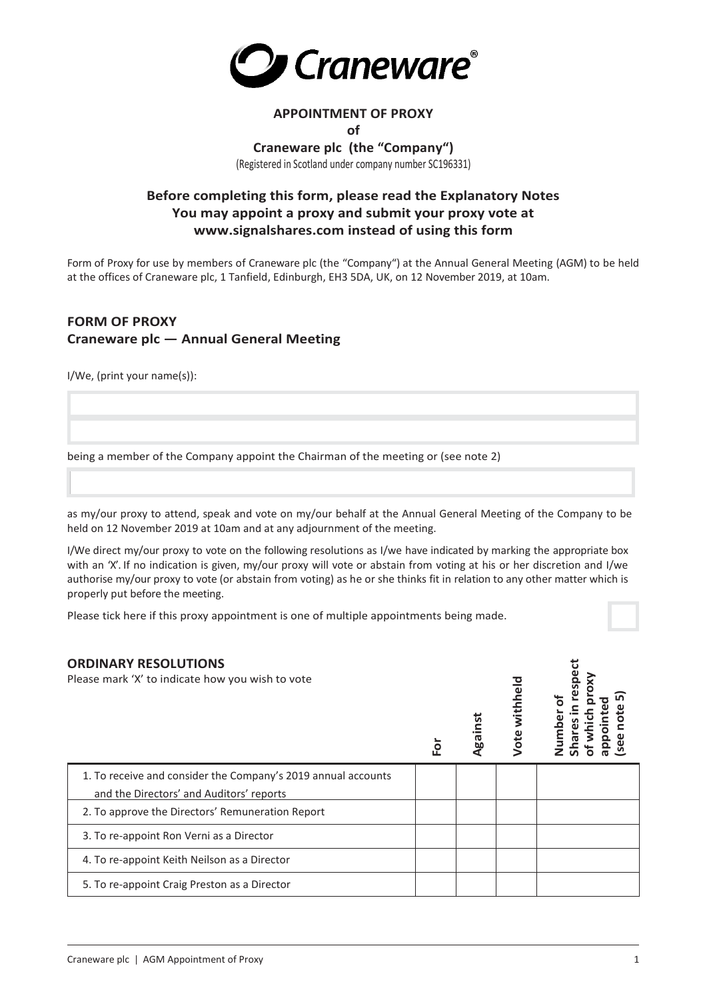

# **APPOINTMENT OF PROXY**

#### **of**

**Craneware plc (the "Company")** (Registered in Scotland under company number SC196331)

# **Before completing this form, please read the Explanatory Notes You may appoint a proxy and submit your proxy vote at www.signalshares.com instead of using this form**

Form of Proxy for use by members of Craneware plc (the "Company") at the Annual General Meeting (AGM) to be held at the offices of Craneware plc, 1 Tanfield, Edinburgh, EH3 5DA, UK, on 12 November 2019, at 10am.

## **FORM OF PROXY Craneware plc — Annual General Meeting**

I/We, (print your name(s)):

being a member of the Company appoint the Chairman of the meeting or (see note 2)

as my/our proxy to attend, speak and vote on my/our behalf at the Annual General Meeting of the Company to be held on 12 November 2019 at 10am and at any adjournment of the meeting.

I/We direct my/our proxy to vote on the following resolutions as I/we have indicated by marking the appropriate box with an 'X'. If no indication is given, my/our proxy will vote or abstain from voting at his or her discretion and I/we authorise my/our proxy to vote (or abstain from voting) as he or she thinks fit in relation to any other matter which is properly put before the meeting.

Please tick here if this proxy appointment is one of multiple appointments being made.

| <b>ORDINARY RESOLUTIONS</b><br>Please mark 'X' to indicate how you wish to vote              | è | Ngair | withhel<br>Vote | ق<br>Q |
|----------------------------------------------------------------------------------------------|---|-------|-----------------|--------|
| 1. To receive and consider the Company's 2019 annual accounts                                |   |       |                 |        |
| and the Directors' and Auditors' reports<br>2. To approve the Directors' Remuneration Report |   |       |                 |        |
| 3. To re-appoint Ron Verni as a Director                                                     |   |       |                 |        |
| 4. To re-appoint Keith Neilson as a Director                                                 |   |       |                 |        |
| 5. To re-appoint Craig Preston as a Director                                                 |   |       |                 |        |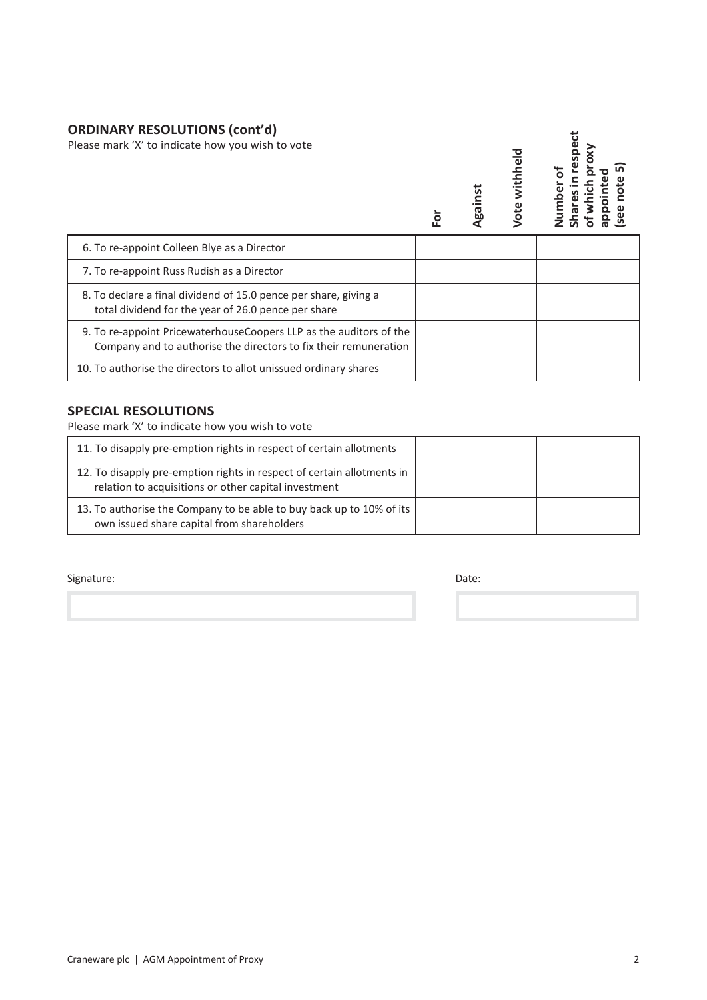# **ORDINARY RESOLUTIONS (cont'd)**

| Please mark 'X' to indicate how you wish to vote |  |
|--------------------------------------------------|--|
|--------------------------------------------------|--|

| URDINART RESULUTIUNS (CONCU)<br>Please mark 'X' to indicate how you wish to vote                                                        |  | Against | Vote withheld |  |
|-----------------------------------------------------------------------------------------------------------------------------------------|--|---------|---------------|--|
| 6. To re-appoint Colleen Blye as a Director                                                                                             |  |         |               |  |
| 7. To re-appoint Russ Rudish as a Director                                                                                              |  |         |               |  |
| 8. To declare a final dividend of 15.0 pence per share, giving a<br>total dividend for the year of 26.0 pence per share                 |  |         |               |  |
| 9. To re-appoint Pricewaterhouse Coopers LLP as the auditors of the<br>Company and to authorise the directors to fix their remuneration |  |         |               |  |
| 10. To authorise the directors to allot unissued ordinary shares                                                                        |  |         |               |  |

## **SPECIAL RESOLUTIONS**

Please mark 'X' to indicate how you wish to vote

| 11. To disapply pre-emption rights in respect of certain allotments                                                            |  |  |
|--------------------------------------------------------------------------------------------------------------------------------|--|--|
| 12. To disapply pre-emption rights in respect of certain allotments in<br>relation to acquisitions or other capital investment |  |  |
| 13. To authorise the Company to be able to buy back up to 10% of its<br>own issued share capital from shareholders             |  |  |

Signature: Date: Date: Date: Date: Date: Date: Date: Date: Date: Date: Date: Date: Date: Date: Date: Date: Date: Date: Date: Date: Date: Date: Date: Date: Date: Date: Date: Date: Date: Date: Date: Date: Date: Date: Date: D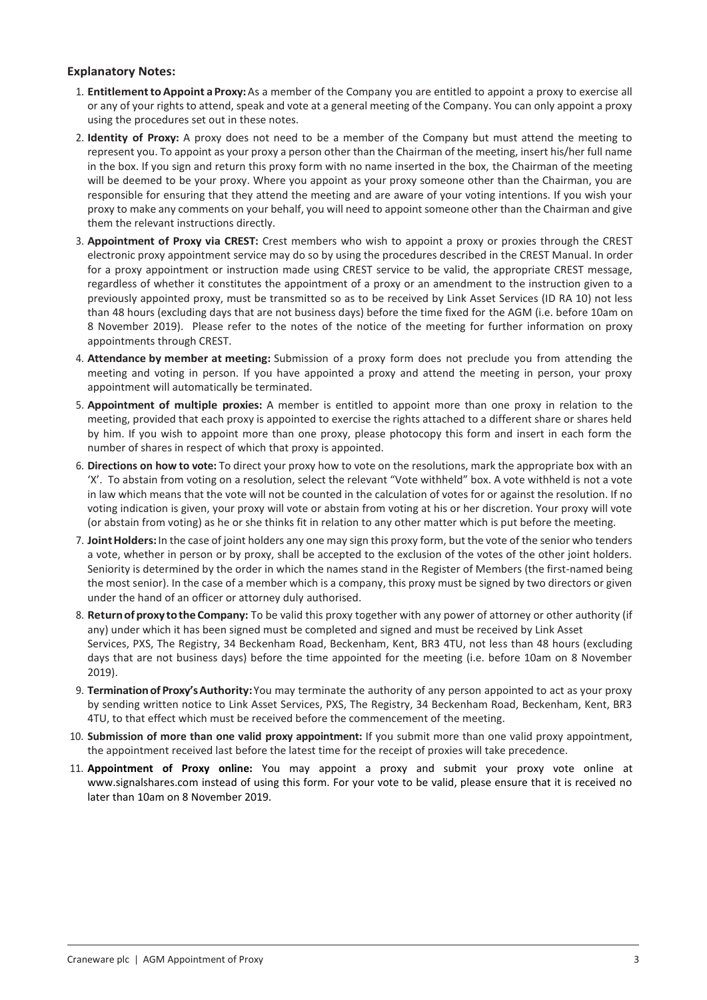### **Explanatory Notes:**

- 1. **EntitlementtoAppoint aProxy:**As a member of the Company you are entitled to appoint a proxy to exercise all or any of your rights to attend, speak and vote at a general meeting of the Company. You can only appoint a proxy using the procedures set out in these notes.
- 2. **Identity of Proxy:** A proxy does not need to be a member of the Company but must attend the meeting to represent you. To appoint as your proxy a person other than the Chairman of the meeting, insert his/her full name in the box. If you sign and return this proxy form with no name inserted in the box, the Chairman of the meeting will be deemed to be your proxy. Where you appoint as your proxy someone other than the Chairman, you are responsible for ensuring that they attend the meeting and are aware of your voting intentions. If you wish your proxy to make any comments on your behalf, you will need to appoint someone other than the Chairman and give them the relevant instructions directly.
- 3. **Appointment of Proxy via CREST:** Crest members who wish to appoint a proxy or proxies through the CREST electronic proxy appointment service may do so by using the procedures described in the CREST Manual. In order for a proxy appointment or instruction made using CREST service to be valid, the appropriate CREST message, regardless of whether it constitutes the appointment of a proxy or an amendment to the instruction given to a previously appointed proxy, must be transmitted so as to be received by Link Asset Services (ID RA 10) not less than 48 hours (excluding days that are not business days) before the time fixed for the AGM (i.e. before 10am on 8 November 2019). Please refer to the notes of the notice of the meeting for further information on proxy appointments through CREST.
- 4. **Attendance by member at meeting:** Submission of a proxy form does not preclude you from attending the meeting and voting in person. If you have appointed a proxy and attend the meeting in person, your proxy appointment will automatically be terminated.
- 5. **Appointment of multiple proxies:** A member is entitled to appoint more than one proxy in relation to the meeting, provided that each proxy is appointed to exercise the rights attached to a different share or shares held by him. If you wish to appoint more than one proxy, please photocopy this form and insert in each form the number of shares in respect of which that proxy is appointed.
- 6. **Directions on how to vote:** To direct your proxy how to vote on the resolutions, mark the appropriate box with an 'X'. To abstain from voting on a resolution, select the relevant "Vote withheld" box. A vote withheld is not a vote in law which means that the vote will not be counted in the calculation of votes for or against the resolution. If no voting indication is given, your proxy will vote or abstain from voting at his or her discretion. Your proxy will vote (or abstain from voting) as he or she thinks fit in relation to any other matter which is put before the meeting.
- 7. **JointHolders:**In the case of joint holders any one may sign this proxy form, but the vote of the senior who tenders a vote, whether in person or by proxy, shall be accepted to the exclusion of the votes of the other joint holders. Seniority is determined by the order in which the names stand in the Register of Members (the first-named being the most senior). In the case of a member which is a company, this proxy must be signed by two directors or given under the hand of an officer or attorney duly authorised.
- 8. **ReturnofproxytotheCompany:** To be valid this proxy together with any power of attorney or other authority (if any) under which it has been signed must be completed and signed and must be received by Link Asset Services, PXS, The Registry, 34 Beckenham Road, Beckenham, Kent, BR3 4TU, not less than 48 hours (excluding days that are not business days) before the time appointed for the meeting (i.e. before 10am on 8 November 2019).
- 9. **Terminationof Proxy'sAuthority:**You may terminate the authority of any person appointed to act as your proxy by sending written notice to Link Asset Services, PXS, The Registry, 34 Beckenham Road, Beckenham, Kent, BR3 4TU, to that effect which must be received before the commencement of the meeting.
- 10. **Submission of more than one valid proxy appointment:** If you submit more than one valid proxy appointment, the appointment received last before the latest time for the receipt of proxies will take precedence.
- 11. **Appointment of Proxy online:** You may appoint a proxy and submit your proxy vote online at www.signalshares.com instead of using this form. For your vote to be valid, please ensure that it is received no later than 10am on 8 November 2019.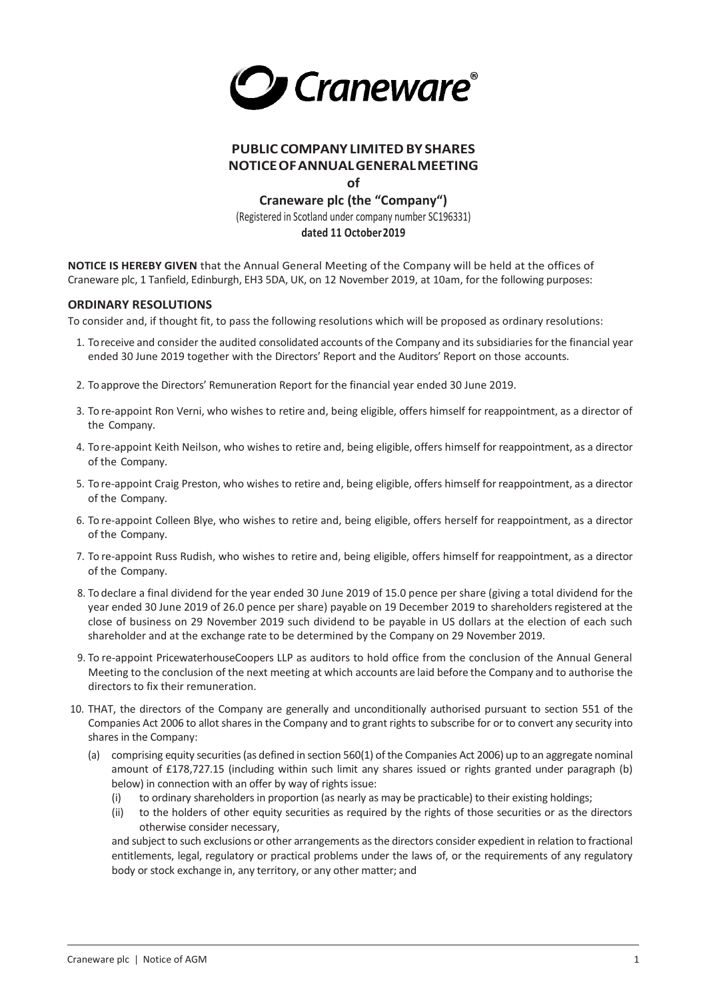

## **PUBLIC COMPANY LIMITED BY SHARES NOTICEOFANNUALGENERALMEETING**

**of**

**Craneware plc (the "Company")**  (Registered in Scotland under company number SC196331) **dated 11 October2019**

**NOTICE IS HEREBY GIVEN** that the Annual General Meeting of the Company will be held at the offices of Craneware plc, 1 Tanfield, Edinburgh, EH3 5DA, UK, on 12 November 2019, at 10am, for the following purposes:

### **ORDINARY RESOLUTIONS**

To consider and, if thought fit, to pass the following resolutions which will be proposed as ordinary resolutions:

- 1. To receive and consider the audited consolidated accounts of the Company and its subsidiaries for the financial year ended 30 June 2019 together with the Directors' Report and the Auditors' Report on those accounts.
- 2. To approve the Directors' Remuneration Report for the financial year ended 30 June 2019.
- 3. To re-appoint Ron Verni, who wishes to retire and, being eligible, offers himself for reappointment, as a director of the Company.
- 4. To re-appoint Keith Neilson, who wishes to retire and, being eligible, offers himself for reappointment, as a director of the Company.
- 5. To re-appoint Craig Preston, who wishes to retire and, being eligible, offers himself for reappointment, as a director of the Company.
- 6. To re-appoint Colleen Blye, who wishes to retire and, being eligible, offers herself for reappointment, as a director of the Company.
- 7. To re-appoint Russ Rudish, who wishes to retire and, being eligible, offers himself for reappointment, as a director of the Company.
- 8. To declare a final dividend for the year ended 30 June 2019 of 15.0 pence per share (giving a total dividend for the year ended 30 June 2019 of 26.0 pence per share) payable on 19 December 2019 to shareholders registered at the close of business on 29 November 2019 such dividend to be payable in US dollars at the election of each such shareholder and at the exchange rate to be determined by the Company on 29 November 2019.
- 9. To re-appoint PricewaterhouseCoopers LLP as auditors to hold office from the conclusion of the Annual General Meeting to the conclusion of the next meeting at which accounts are laid before the Company and to authorise the directors to fix their remuneration.
- 10. THAT, the directors of the Company are generally and unconditionally authorised pursuant to section 551 of the Companies Act 2006 to allot shares in the Company and to grant rights to subscribe for or to convert any security into shares in the Company:
	- (a) comprising equity securities (as defined in section 560(1) of the Companies Act 2006) up to an aggregate nominal amount of £178,727.15 (including within such limit any shares issued or rights granted under paragraph (b) below) in connection with an offer by way of rights issue:
		- (i) to ordinary shareholders in proportion (as nearly as may be practicable) to their existing holdings;
		- (ii) to the holders of other equity securities as required by the rights of those securities or as the directors otherwise consider necessary,

and subject to such exclusions or other arrangements as the directors consider expedient in relation to fractional entitlements, legal, regulatory or practical problems under the laws of, or the requirements of any regulatory body or stock exchange in, any territory, or any other matter; and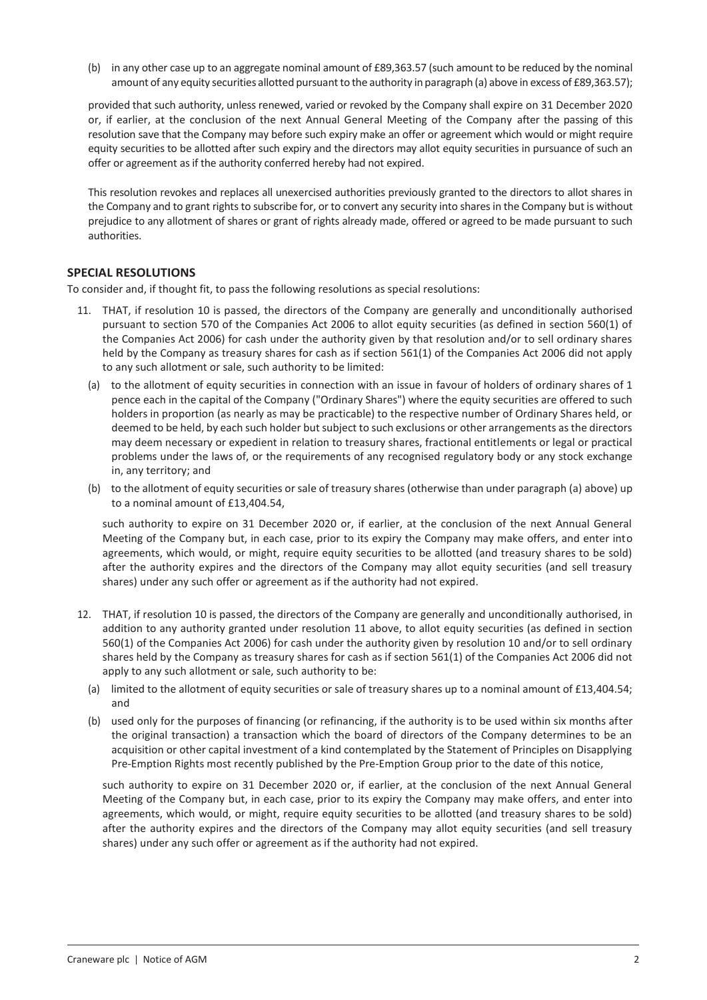(b) in any other case up to an aggregate nominal amount of £89,363.57 (such amount to be reduced by the nominal amount of any equity securities allotted pursuant to the authority in paragraph (a) above in excess of £89,363.57);

provided that such authority, unless renewed, varied or revoked by the Company shall expire on 31 December 2020 or, if earlier, at the conclusion of the next Annual General Meeting of the Company after the passing of this resolution save that the Company may before such expiry make an offer or agreement which would or might require equity securities to be allotted after such expiry and the directors may allot equity securities in pursuance of such an offer or agreement as if the authority conferred hereby had not expired.

This resolution revokes and replaces all unexercised authorities previously granted to the directors to allot shares in the Company and to grant rights to subscribe for, or to convert any security into shares in the Company but is without prejudice to any allotment of shares or grant of rights already made, offered or agreed to be made pursuant to such authorities.

### **SPECIAL RESOLUTIONS**

To consider and, if thought fit, to pass the following resolutions as special resolutions:

- 11. THAT, if resolution 10 is passed, the directors of the Company are generally and unconditionally authorised pursuant to section 570 of the Companies Act 2006 to allot equity securities (as defined in section 560(1) of the Companies Act 2006) for cash under the authority given by that resolution and/or to sell ordinary shares held by the Company as treasury shares for cash as if section 561(1) of the Companies Act 2006 did not apply to any such allotment or sale, such authority to be limited:
	- (a) to the allotment of equity securities in connection with an issue in favour of holders of ordinary shares of 1 pence each in the capital of the Company ("Ordinary Shares") where the equity securities are offered to such holders in proportion (as nearly as may be practicable) to the respective number of Ordinary Shares held, or deemed to be held, by each such holder but subject to such exclusions or other arrangements as the directors may deem necessary or expedient in relation to treasury shares, fractional entitlements or legal or practical problems under the laws of, or the requirements of any recognised regulatory body or any stock exchange in, any territory; and
	- (b) to the allotment of equity securities or sale of treasury shares (otherwise than under paragraph (a) above) up to a nominal amount of £13,404.54,

such authority to expire on 31 December 2020 or, if earlier, at the conclusion of the next Annual General Meeting of the Company but, in each case, prior to its expiry the Company may make offers, and enter into agreements, which would, or might, require equity securities to be allotted (and treasury shares to be sold) after the authority expires and the directors of the Company may allot equity securities (and sell treasury shares) under any such offer or agreement as if the authority had not expired.

- 12. THAT, if resolution 10 is passed, the directors of the Company are generally and unconditionally authorised, in addition to any authority granted under resolution 11 above, to allot equity securities (as defined in section 560(1) of the Companies Act 2006) for cash under the authority given by resolution 10 and/or to sell ordinary shares held by the Company as treasury shares for cash as if section 561(1) of the Companies Act 2006 did not apply to any such allotment or sale, such authority to be:
	- (a) limited to the allotment of equity securities or sale of treasury shares up to a nominal amount of £13,404.54; and
	- (b) used only for the purposes of financing (or refinancing, if the authority is to be used within six months after the original transaction) a transaction which the board of directors of the Company determines to be an acquisition or other capital investment of a kind contemplated by the Statement of Principles on Disapplying Pre-Emption Rights most recently published by the Pre-Emption Group prior to the date of this notice,

such authority to expire on 31 December 2020 or, if earlier, at the conclusion of the next Annual General Meeting of the Company but, in each case, prior to its expiry the Company may make offers, and enter into agreements, which would, or might, require equity securities to be allotted (and treasury shares to be sold) after the authority expires and the directors of the Company may allot equity securities (and sell treasury shares) under any such offer or agreement as if the authority had not expired.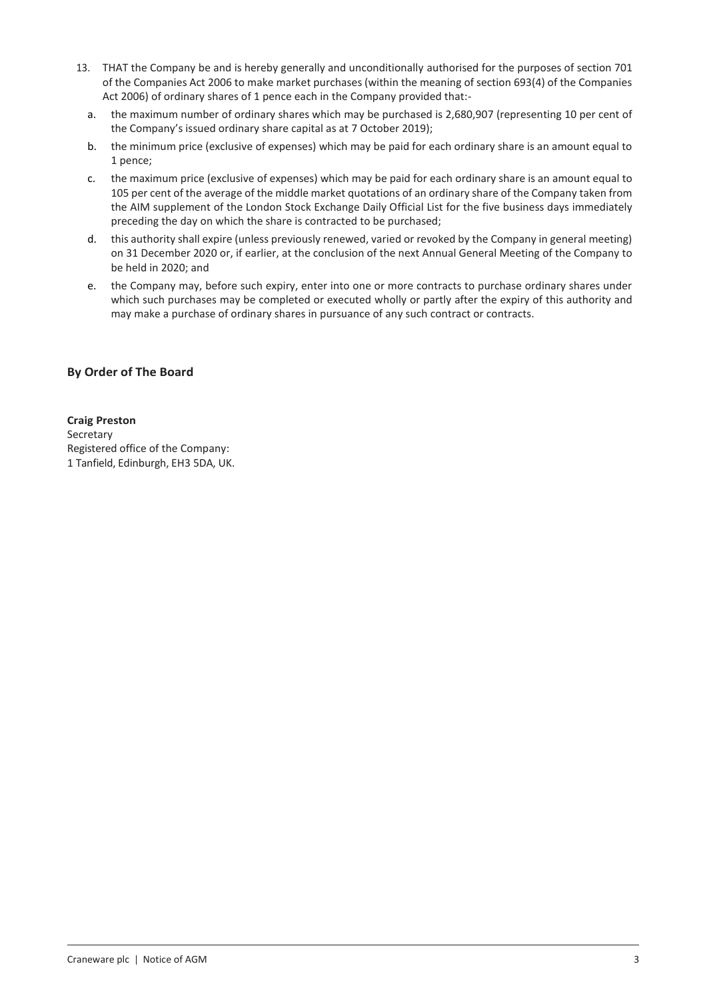- 13. THAT the Company be and is hereby generally and unconditionally authorised for the purposes of section 701 of the Companies Act 2006 to make market purchases (within the meaning of section 693(4) of the Companies Act 2006) of ordinary shares of 1 pence each in the Company provided that:
	- a. the maximum number of ordinary shares which may be purchased is 2,680,907 (representing 10 per cent of the Company's issued ordinary share capital as at 7 October 2019);
	- b. the minimum price (exclusive of expenses) which may be paid for each ordinary share is an amount equal to 1 pence;
	- c. the maximum price (exclusive of expenses) which may be paid for each ordinary share is an amount equal to 105 per cent of the average of the middle market quotations of an ordinary share of the Company taken from the AIM supplement of the London Stock Exchange Daily Official List for the five business days immediately preceding the day on which the share is contracted to be purchased;
	- d. this authority shall expire (unless previously renewed, varied or revoked by the Company in general meeting) on 31 December 2020 or, if earlier, at the conclusion of the next Annual General Meeting of the Company to be held in 2020; and
	- e. the Company may, before such expiry, enter into one or more contracts to purchase ordinary shares under which such purchases may be completed or executed wholly or partly after the expiry of this authority and may make a purchase of ordinary shares in pursuance of any such contract or contracts.

## **By Order of The Board**

## **Craig Preston**

Secretary Registered office of the Company: 1 Tanfield, Edinburgh, EH3 5DA, UK.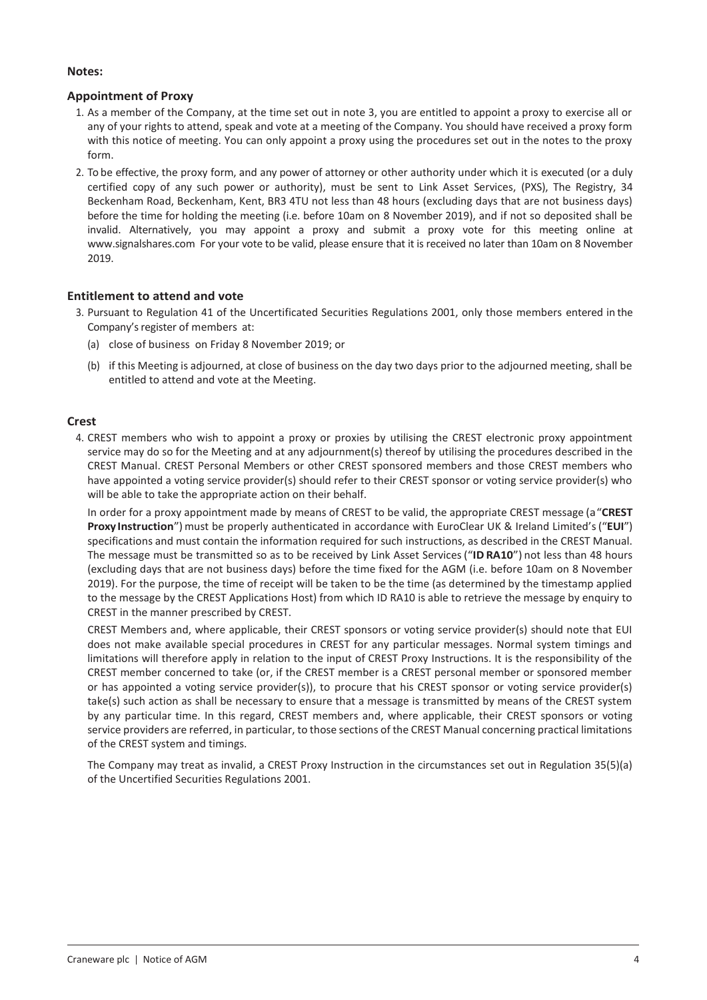### **Notes:**

## **Appointment of Proxy**

- 1. As a member of the Company, at the time set out in note 3, you are entitled to appoint a proxy to exercise all or any of your rights to attend, speak and vote at a meeting of the Company. You should have received a proxy form with this notice of meeting. You can only appoint a proxy using the procedures set out in the notes to the proxy form.
- 2. To be effective, the proxy form, and any power of attorney or other authority under which it is executed (or a duly certified copy of any such power or authority), must be sent to Link Asset Services, (PXS), The Registry, 34 Beckenham Road, Beckenham, Kent, BR3 4TU not less than 48 hours (excluding days that are not business days) before the time for holding the meeting (i.e. before 10am on 8 November 2019), and if not so deposited shall be invalid. Alternatively, you may appoint a proxy and submit a proxy vote for this meeting online at www.signalshares.com For your vote to be valid, please ensure that it is received no later than 10am on 8 November 2019.

### **Entitlement to attend and vote**

- 3. Pursuant to Regulation 41 of the Uncertificated Securities Regulations 2001, only those members entered in the Company's register of members at:
	- (a) close of business on Friday 8 November 2019; or
	- (b) if this Meeting is adjourned, at close of business on the day two days prior to the adjourned meeting, shall be entitled to attend and vote at the Meeting.

### **Crest**

4. CREST members who wish to appoint a proxy or proxies by utilising the CREST electronic proxy appointment service may do so for the Meeting and at any adjournment(s) thereof by utilising the procedures described in the CREST Manual. CREST Personal Members or other CREST sponsored members and those CREST members who have appointed a voting service provider(s) should refer to their CREST sponsor or voting service provider(s) who will be able to take the appropriate action on their behalf.

In order for a proxy appointment made by means of CREST to be valid, the appropriate CREST message (a"**CREST Proxy Instruction**")must be properly authenticated in accordance with EuroClear UK & Ireland Limited's("**EUI**") specifications and must contain the information required for such instructions, as described in the CREST Manual. The message must be transmitted so as to be received by Link Asset Services("**ID RA10**") not less than 48 hours (excluding days that are not business days) before the time fixed for the AGM (i.e. before 10am on 8 November 2019). For the purpose, the time of receipt will be taken to be the time (as determined by the timestamp applied to the message by the CREST Applications Host) from which ID RA10 is able to retrieve the message by enquiry to CREST in the manner prescribed by CREST.

CREST Members and, where applicable, their CREST sponsors or voting service provider(s) should note that EUI does not make available special procedures in CREST for any particular messages. Normal system timings and limitations will therefore apply in relation to the input of CREST Proxy Instructions. It is the responsibility of the CREST member concerned to take (or, if the CREST member is a CREST personal member or sponsored member or has appointed a voting service provider(s)), to procure that his CREST sponsor or voting service provider(s) take(s) such action as shall be necessary to ensure that a message is transmitted by means of the CREST system by any particular time. In this regard, CREST members and, where applicable, their CREST sponsors or voting service providers are referred, in particular, to those sections of the CREST Manual concerning practical limitations of the CREST system and timings.

The Company may treat as invalid, a CREST Proxy Instruction in the circumstances set out in Regulation 35(5)(a) of the Uncertified Securities Regulations 2001.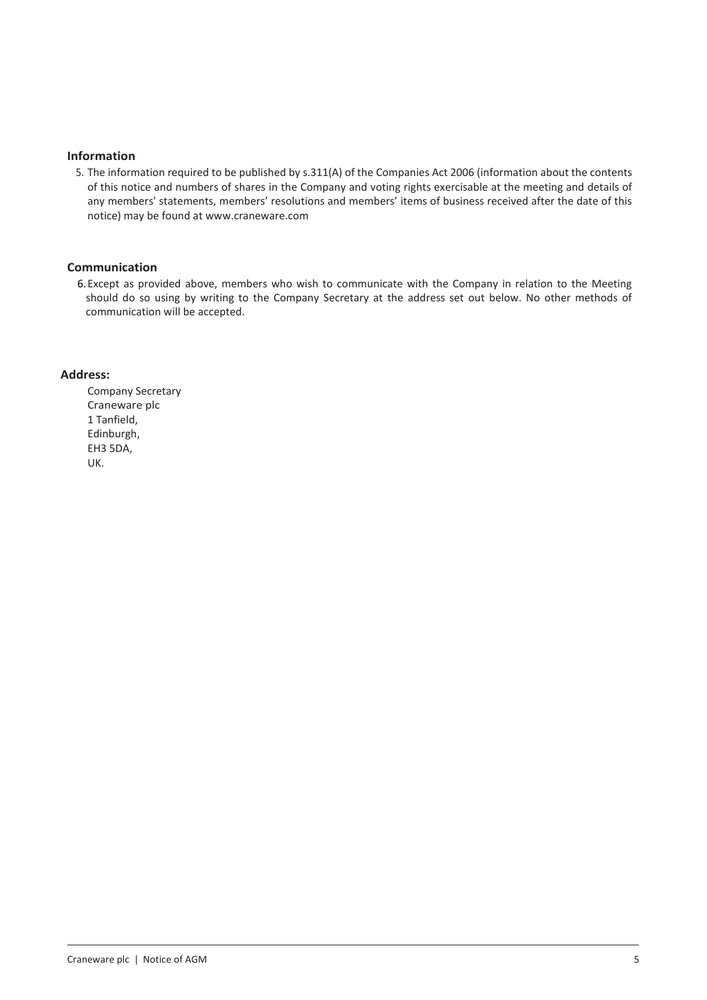#### **Information**

5. The information required to be published by s.311(A) of the Companies Act 2006 (information about the contents of this notice and numbers of shares in the Company and voting rights exercisable at the meeting and details of any members' statements, members' resolutions and members' items of business received after the date of this notice) may be found at www.craneware.com

### **Communication**

6.Except as provided above, members who wish to communicate with the Company in relation to the Meeting should do so using by writing to the Company Secretary at the address set out below. No other methods of communication will be accepted.

### **Address:**

Company Secretary Craneware plc 1 Tanfield, Edinburgh, EH3 5DA, UK.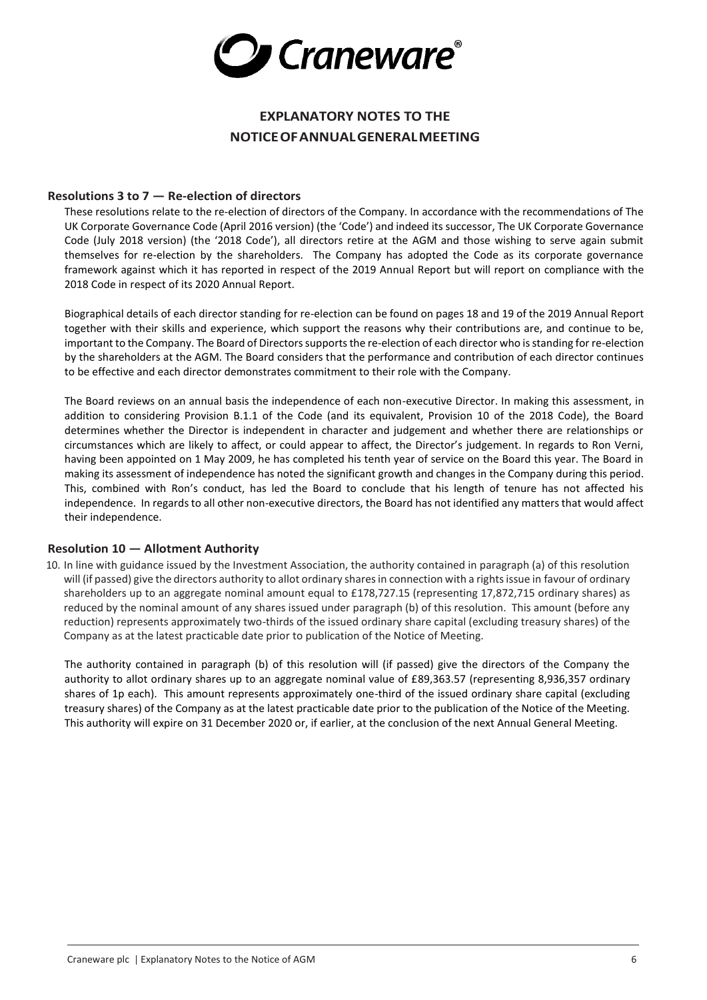

# **EXPLANATORY NOTES TO THE NOTICEOFANNUALGENERALMEETING**

### **Resolutions 3 to 7 — Re-election of directors**

These resolutions relate to the re-election of directors of the Company. In accordance with the recommendations of The UK Corporate Governance Code (April 2016 version) (the 'Code') and indeed its successor, The UK Corporate Governance Code (July 2018 version) (the '2018 Code'), all directors retire at the AGM and those wishing to serve again submit themselves for re-election by the shareholders. The Company has adopted the Code as its corporate governance framework against which it has reported in respect of the 2019 Annual Report but will report on compliance with the 2018 Code in respect of its 2020 Annual Report.

Biographical details of each director standing for re-election can be found on pages 18 and 19 of the 2019 Annual Report together with their skills and experience, which support the reasons why their contributions are, and continue to be, important to the Company. The Board of Directors supports the re-election of each director who is standing for re-election by the shareholders at the AGM. The Board considers that the performance and contribution of each director continues to be effective and each director demonstrates commitment to their role with the Company.

The Board reviews on an annual basis the independence of each non-executive Director. In making this assessment, in addition to considering Provision B.1.1 of the Code (and its equivalent, Provision 10 of the 2018 Code), the Board determines whether the Director is independent in character and judgement and whether there are relationships or circumstances which are likely to affect, or could appear to affect, the Director's judgement. In regards to Ron Verni, having been appointed on 1 May 2009, he has completed his tenth year of service on the Board this year. The Board in making its assessment of independence has noted the significant growth and changes in the Company during this period. This, combined with Ron's conduct, has led the Board to conclude that his length of tenure has not affected his independence. In regards to all other non-executive directors, the Board has not identified any matters that would affect their independence.

#### **Resolution 10 — Allotment Authority**

10. In line with guidance issued by the Investment Association, the authority contained in paragraph (a) of this resolution will (if passed) give the directors authority to allot ordinary shares in connection with a rights issue in favour of ordinary shareholders up to an aggregate nominal amount equal to £178,727.15 (representing 17,872,715 ordinary shares) as reduced by the nominal amount of any shares issued under paragraph (b) of this resolution. This amount (before any reduction) represents approximately two-thirds of the issued ordinary share capital (excluding treasury shares) of the Company as at the latest practicable date prior to publication of the Notice of Meeting.

The authority contained in paragraph (b) of this resolution will (if passed) give the directors of the Company the authority to allot ordinary shares up to an aggregate nominal value of £89,363.57 (representing 8,936,357 ordinary shares of 1p each). This amount represents approximately one-third of the issued ordinary share capital (excluding treasury shares) of the Company as at the latest practicable date prior to the publication of the Notice of the Meeting. This authority will expire on 31 December 2020 or, if earlier, at the conclusion of the next Annual General Meeting.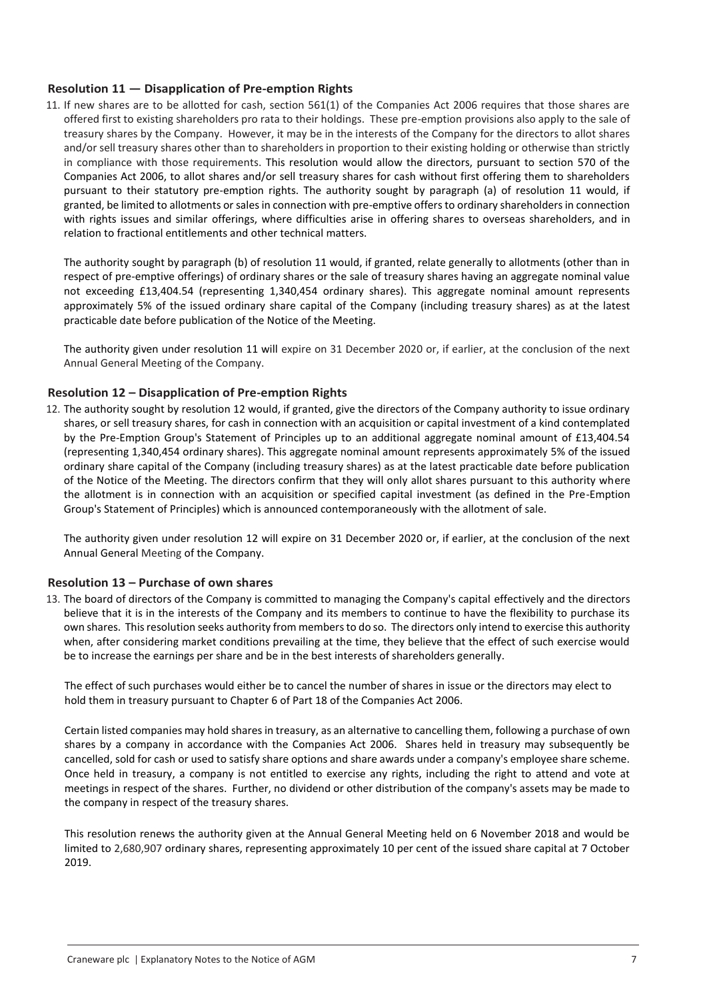### **Resolution 11 — Disapplication of Pre-emption Rights**

11. If new shares are to be allotted for cash, section 561(1) of the Companies Act 2006 requires that those shares are offered first to existing shareholders pro rata to their holdings. These pre-emption provisions also apply to the sale of treasury shares by the Company. However, it may be in the interests of the Company for the directors to allot shares and/or sell treasury shares other than to shareholders in proportion to their existing holding or otherwise than strictly in compliance with those requirements. This resolution would allow the directors, pursuant to section 570 of the Companies Act 2006, to allot shares and/or sell treasury shares for cash without first offering them to shareholders pursuant to their statutory pre-emption rights. The authority sought by paragraph (a) of resolution 11 would, if granted, be limited to allotments or sales in connection with pre-emptive offers to ordinary shareholders in connection with rights issues and similar offerings, where difficulties arise in offering shares to overseas shareholders, and in relation to fractional entitlements and other technical matters.

The authority sought by paragraph (b) of resolution 11 would, if granted, relate generally to allotments (other than in respect of pre-emptive offerings) of ordinary shares or the sale of treasury shares having an aggregate nominal value not exceeding £13,404.54 (representing 1,340,454 ordinary shares). This aggregate nominal amount represents approximately 5% of the issued ordinary share capital of the Company (including treasury shares) as at the latest practicable date before publication of the Notice of the Meeting.

The authority given under resolution 11 will expire on 31 December 2020 or, if earlier, at the conclusion of the next Annual General Meeting of the Company.

### **Resolution 12 – Disapplication of Pre-emption Rights**

12. The authority sought by resolution 12 would, if granted, give the directors of the Company authority to issue ordinary shares, or sell treasury shares, for cash in connection with an acquisition or capital investment of a kind contemplated by the Pre-Emption Group's Statement of Principles up to an additional aggregate nominal amount of £13,404.54 (representing 1,340,454 ordinary shares). This aggregate nominal amount represents approximately 5% of the issued ordinary share capital of the Company (including treasury shares) as at the latest practicable date before publication of the Notice of the Meeting. The directors confirm that they will only allot shares pursuant to this authority where the allotment is in connection with an acquisition or specified capital investment (as defined in the Pre-Emption Group's Statement of Principles) which is announced contemporaneously with the allotment of sale.

The authority given under resolution 12 will expire on 31 December 2020 or, if earlier, at the conclusion of the next Annual General Meeting of the Company.

#### **Resolution 13 – Purchase of own shares**

13. The board of directors of the Company is committed to managing the Company's capital effectively and the directors believe that it is in the interests of the Company and its members to continue to have the flexibility to purchase its own shares. This resolution seeks authority from members to do so. The directors only intend to exercise this authority when, after considering market conditions prevailing at the time, they believe that the effect of such exercise would be to increase the earnings per share and be in the best interests of shareholders generally.

The effect of such purchases would either be to cancel the number of shares in issue or the directors may elect to hold them in treasury pursuant to Chapter 6 of Part 18 of the Companies Act 2006.

Certain listed companies may hold shares in treasury, as an alternative to cancelling them, following a purchase of own shares by a company in accordance with the Companies Act 2006. Shares held in treasury may subsequently be cancelled, sold for cash or used to satisfy share options and share awards under a company's employee share scheme. Once held in treasury, a company is not entitled to exercise any rights, including the right to attend and vote at meetings in respect of the shares. Further, no dividend or other distribution of the company's assets may be made to the company in respect of the treasury shares.

This resolution renews the authority given at the Annual General Meeting held on 6 November 2018 and would be limited to 2,680,907 ordinary shares, representing approximately 10 per cent of the issued share capital at 7 October 2019.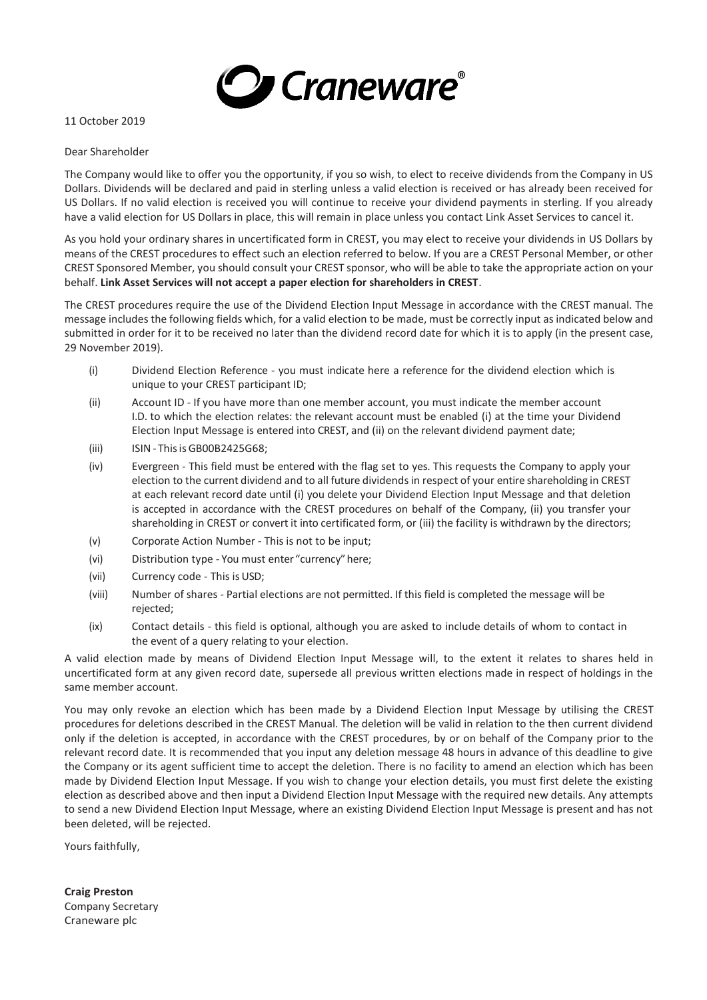

#### 11 October 2019

### Dear Shareholder

The Company would like to offer you the opportunity, if you so wish, to elect to receive dividends from the Company in US Dollars. Dividends will be declared and paid in sterling unless a valid election is received or has already been received for US Dollars. If no valid election is received you will continue to receive your dividend payments in sterling. If you already have a valid election for US Dollars in place, this will remain in place unless you contact Link Asset Services to cancel it.

As you hold your ordinary shares in uncertificated form in CREST, you may elect to receive your dividends in US Dollars by means of the CREST procedures to effect such an election referred to below. If you are a CREST Personal Member, or other CREST Sponsored Member, you should consult your CREST sponsor, who will be able to take the appropriate action on your behalf. **Link Asset Services will not accept a paper election for shareholders in CREST**.

The CREST procedures require the use of the Dividend Election Input Message in accordance with the CREST manual. The message includes the following fields which, for a valid election to be made, must be correctly input as indicated below and submitted in order for it to be received no later than the dividend record date for which it is to apply (in the present case, 29 November 2019).

- (i) Dividend Election Reference you must indicate here a reference for the dividend election which is unique to your CREST participant ID;
- (ii) Account ID If you have more than one member account, you must indicate the member account I.D. to which the election relates: the relevant account must be enabled (i) at the time your Dividend Election Input Message is entered into CREST, and (ii) on the relevant dividend payment date;
- (iii) ISIN Thisis GB00B2425G68;
- (iv) Evergreen This field must be entered with the flag set to yes. This requests the Company to apply your election to the current dividend and to all future dividends in respect of your entire shareholding in CREST at each relevant record date until (i) you delete your Dividend Election Input Message and that deletion is accepted in accordance with the CREST procedures on behalf of the Company, (ii) you transfer your shareholding in CREST or convert it into certificated form, or (iii) the facility is withdrawn by the directors;
- (v) Corporate Action Number This is not to be input;
- (vi) Distribution type You must enter "currency"here;
- (vii) Currency code This isUSD;
- (viii) Number of shares Partial elections are not permitted. If this field is completed the message will be rejected;
- (ix) Contact details this field is optional, although you are asked to include details of whom to contact in the event of a query relating to your election.

A valid election made by means of Dividend Election Input Message will, to the extent it relates to shares held in uncertificated form at any given record date, supersede all previous written elections made in respect of holdings in the same member account.

You may only revoke an election which has been made by a Dividend Election Input Message by utilising the CREST procedures for deletions described in the CREST Manual. The deletion will be valid in relation to the then current dividend only if the deletion is accepted, in accordance with the CREST procedures, by or on behalf of the Company prior to the relevant record date. It is recommended that you input any deletion message 48 hours in advance of this deadline to give the Company or its agent sufficient time to accept the deletion. There is no facility to amend an election which has been made by Dividend Election Input Message. If you wish to change your election details, you must first delete the existing election as described above and then input a Dividend Election Input Message with the required new details. Any attempts to send a new Dividend Election Input Message, where an existing Dividend Election Input Message is present and has not been deleted, will be rejected.

Yours faithfully,

**Craig Preston** Company Secretary Craneware plc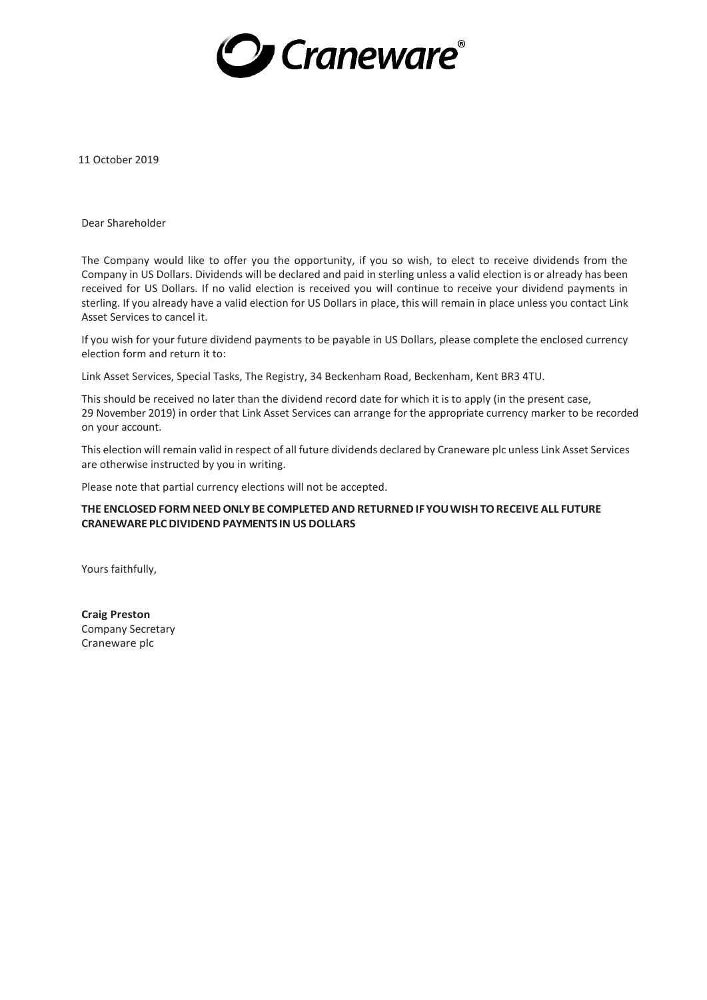

11 October 2019

Dear Shareholder

The Company would like to offer you the opportunity, if you so wish, to elect to receive dividends from the Company in US Dollars. Dividends will be declared and paid in sterling unless a valid election is or already has been received for US Dollars. If no valid election is received you will continue to receive your dividend payments in sterling. If you already have a valid election for US Dollars in place, this will remain in place unless you contact Link Asset Services to cancel it.

If you wish for your future dividend payments to be payable in US Dollars, please complete the enclosed currency election form and return it to:

Link Asset Services, Special Tasks, The Registry, 34 Beckenham Road, Beckenham, Kent BR3 4TU.

This should be received no later than the dividend record date for which it is to apply (in the present case, 29 November 2019) in order that Link Asset Services can arrange for the appropriate currency marker to be recorded on your account.

This election will remain valid in respect of all future dividends declared by Craneware plc unless Link Asset Services are otherwise instructed by you in writing.

Please note that partial currency elections will not be accepted.

#### **THE ENCLOSED FORM NEED ONLY BE COMPLETED AND RETURNED IFYOUWISHTORECEIVE ALL FUTURE CRANEWARE PLCDIVIDEND PAYMENTS IN US DOLLARS**

Yours faithfully,

**Craig Preston** Company Secretary Craneware plc